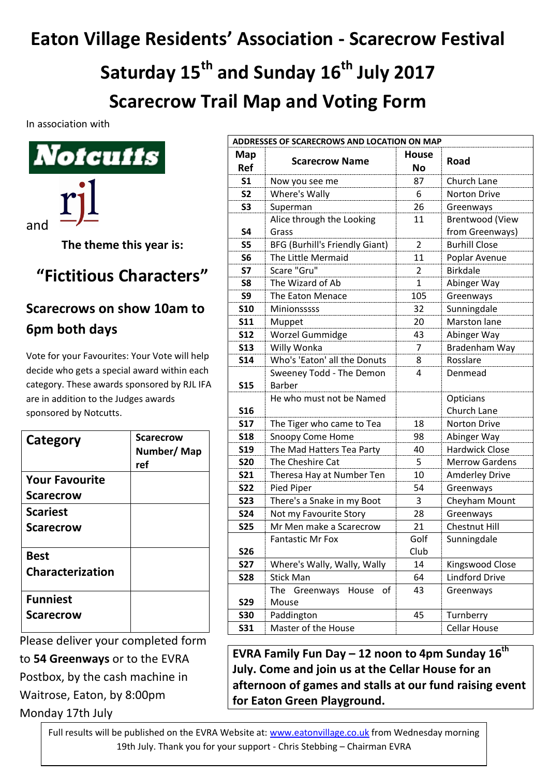## **Eaton Village Residents' Association - Scarecrow Festival**

**Saturday 15th and Sunday 16 th July 2017 Scarecrow Trail Map and Voting Form**

**ADDRESSES OF SCARECROWS AND LOCATION ON MAP**

In association with



**The theme this year is:**

## **"Fictitious Characters"**

## **Scarecrows on show 10am to 6pm both days**

Vote for your Favourites: Your Vote will help decide who gets a special award within each category. These awards sponsored by RJL IFA are in addition to the Judges awards sponsored by Notcutts.

| Category                               | <b>Scarecrow</b><br>Number/Map<br>ref |
|----------------------------------------|---------------------------------------|
| <b>Your Favourite</b>                  |                                       |
| <b>Scarecrow</b>                       |                                       |
| <b>Scariest</b>                        |                                       |
| <b>Scarecrow</b>                       |                                       |
| <b>Best</b><br><b>Characterization</b> |                                       |
| <b>Funniest</b>                        |                                       |
| <b>Scarecrow</b>                       |                                       |

Please deliver your completed form

to **54 Greenways** or to the EVRA

Postbox, by the cash machine in

Waitrose, Eaton, by 8:00pm

Monday 17th July

| Map<br><b>Ref</b> | <b>Scarecrow Name</b>                     | <b>House</b><br><b>No</b> | <b>Road</b>              |
|-------------------|-------------------------------------------|---------------------------|--------------------------|
| S <sub>1</sub>    | Now you see me                            | 87                        | Church Lane              |
| S <sub>2</sub>    | Where's Wally                             | 6                         | <b>Norton Drive</b>      |
| S <sub>3</sub>    | Superman                                  | 26                        | Greenways                |
|                   | Alice through the Looking                 | 11                        | <b>Brentwood (View</b>   |
| <b>S4</b>         | Grass                                     |                           | from Greenways)          |
| <b>S5</b>         | <b>BFG (Burhill's Friendly Giant)</b>     | 2                         | <b>Burhill Close</b>     |
| S <sub>6</sub>    | The Little Mermaid                        | 11                        | Poplar Avenue            |
| <b>S7</b>         | Scare "Gru"                               | $\overline{2}$            | <b>Birkdale</b>          |
| S8                | The Wizard of Ab                          | $\mathbf{1}$              | Abinger Way              |
| S9                | The Eaton Menace                          | 105                       | Greenways                |
| <b>S10</b>        | Minionsssss                               | 32                        | Sunningdale              |
| <b>S11</b>        | Muppet                                    | 20                        | <b>Marston lane</b>      |
| <b>S12</b>        | Worzel Gummidge                           | 43                        | Abinger Way              |
| <b>S13</b>        | Willy Wonka                               | $\overline{7}$            | Bradenham Way            |
| <b>S14</b>        | Who's 'Eaton' all the Donuts              | 8                         | Rosslare                 |
| <b>S15</b>        | Sweeney Todd - The Demon<br><b>Barber</b> | 4                         | Denmead                  |
| <b>S16</b>        | He who must not be Named                  |                           | Opticians<br>Church Lane |
| <b>S17</b>        | The Tiger who came to Tea                 | 18                        | Norton Drive             |
| <b>S18</b>        | Snoopy Come Home                          | 98                        | Abinger Way              |
| <b>S19</b>        | The Mad Hatters Tea Party                 | 40                        | <b>Hardwick Close</b>    |
| <b>S20</b>        | The Cheshire Cat                          | 5                         | <b>Merrow Gardens</b>    |
| <b>S21</b>        | Theresa Hay at Number Ten                 | 10                        | <b>Amderley Drive</b>    |
| <b>S22</b>        | Pied Piper                                | 54                        | Greenways                |
| <b>S23</b>        | There's a Snake in my Boot                | 3                         | Cheyham Mount            |
| <b>S24</b>        | Not my Favourite Story                    | 28                        | Greenways                |
| <b>S25</b>        | Mr Men make a Scarecrow                   | 21                        | <b>Chestnut Hill</b>     |
| <b>S26</b>        | <b>Fantastic Mr Fox</b>                   | Golf<br>Club              | Sunningdale              |
| <b>S27</b>        | Where's Wally, Wally, Wally               | 14                        | Kingswood Close          |
| <b>S28</b>        | <b>Stick Man</b>                          | 64                        | <b>Lindford Drive</b>    |
|                   | Greenways<br>of<br>The<br>House           | 43                        | Greenways                |
| <b>S29</b>        | Mouse                                     |                           |                          |
| <b>S30</b>        | Paddington                                | 45                        | Turnberry                |
| <b>S31</b>        | Master of the House                       |                           | <b>Cellar House</b>      |

**EVRA Family Fun Day – 12 noon to 4pm Sunday 16 th July. Come and join us at the Cellar House for an afternoon of games and stalls at our fund raising event for Eaton Green Playground.**

Full results will be published on the EVRA Website at: [www.eatonvillage.co.uk](http://www.eatonvillage.co.uk/) from Wednesday morning 19th July. Thank you for your support - Chris Stebbing – Chairman EVRA